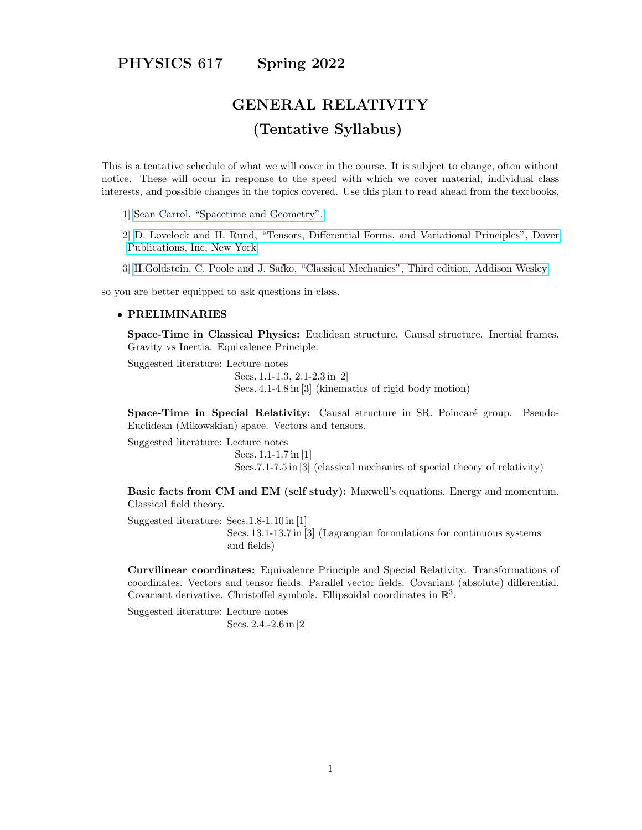# PHYSICS 617 Spring 2022

# GENERAL RELATIVITY (Tentative Syllabus)

This is a tentative schedule of what we will cover in the course. It is subject to change, often without notice. These will occur in response to the speed with which we cover material, individual class interests, and possible changes in the topics covered. Use this plan to read ahead from the textbooks,

- [1] [Sean Carrol, "Spacetime and Geometry".](https://www.amazon.com/Spacetime-Geometry-Introduction-General-Relativity/dp/0805387323)
- [2] [D. Lovelock and H. Rund, "Tensors, Differential Forms, and Variational Principles", Dover](https://www.amazon.com/Tensors-Differential-Variational-Principles-Mathematics/dp/0486658406) [Publications, Inc, New York](https://www.amazon.com/Tensors-Differential-Variational-Principles-Mathematics/dp/0486658406)
- [3] [H.Goldstein, C. Poole and J. Safko, "Classical Mechanics", Third edition, Addison Wesley](https://www.amazon.com/Classical-Mechanics-3rd-Herbert-Goldstein/dp/0201657023)

so you are better equipped to ask questions in class.

#### • PRELIMINARIES

Space-Time in Classical Physics: Euclidean structure. Causal structure. Inertial frames. Gravity vs Inertia. Equivalence Principle.

Suggested literature: Lecture notes

Secs. 1.1-1.3, 2.1-2.3 in [2] Secs. 4.1-4.8 in [3] (kinematics of rigid body motion)

Space-Time in Special Relativity: Causal structure in SR. Poincaré group. Pseudo-Euclidean (Mikowskian) space. Vectors and tensors.

Suggested literature: Lecture notes

Secs. 1.1-1.7 in [1] Secs.7.1-7.5 in [3] (classical mechanics of special theory of relativity)

Basic facts from CM and EM (self study): Maxwell's equations. Energy and momentum. Classical field theory.

Suggested literature: Secs.1.8-1.10 in [1] Secs. 13.1-13.7 in [3] (Lagrangian formulations for continuous systems and fields)

Curvilinear coordinates: Equivalence Principle and Special Relativity. Transformations of coordinates. Vectors and tensor fields. Parallel vector fields. Covariant (absolute) differential. Covariant derivative. Christoffel symbols. Ellipsoidal coordinates in  $\mathbb{R}^3$ .

Suggested literature: Lecture notes Secs. 2.4.-2.6 in [2]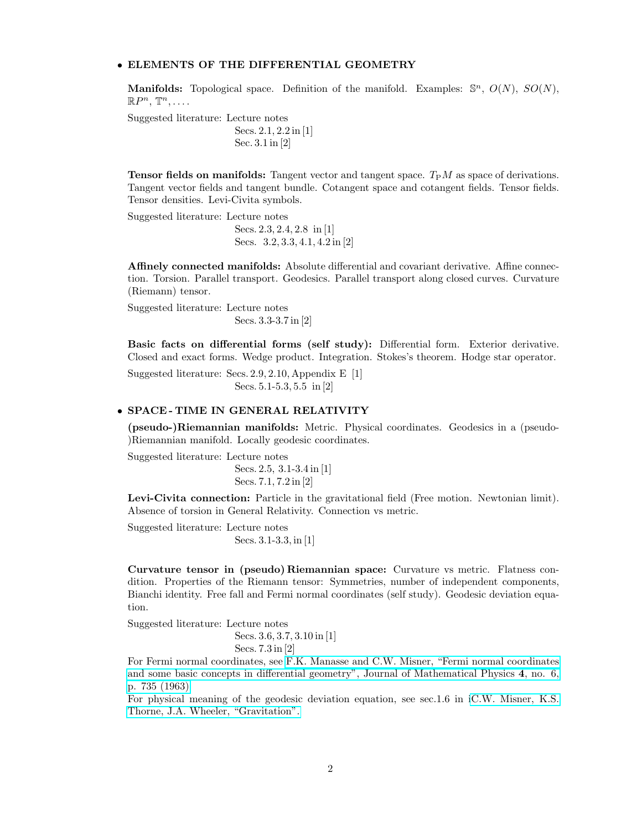# • ELEMENTS OF THE DIFFERENTIAL GEOMETRY

**Manifolds:** Topological space. Definition of the manifold. Examples:  $\mathbb{S}^n$ ,  $O(N)$ ,  $SO(N)$ ,  $\mathbb{R}P^n, \mathbb{T}^n, \ldots$ 

Suggested literature: Lecture notes Secs. 2.1, 2.2 in [1] Sec. 3.1 in [2]

**Tensor fields on manifolds:** Tangent vector and tangent space.  $T<sub>P</sub>M$  as space of derivations. Tangent vector fields and tangent bundle. Cotangent space and cotangent fields. Tensor fields. Tensor densities. Levi-Civita symbols.

Suggested literature: Lecture notes

Secs. 2.3, 2.4, 2.8 in [1] Secs. 3.2, 3.3, 4.1, 4.2 in [2]

Affinely connected manifolds: Absolute differential and covariant derivative. Affine connection. Torsion. Parallel transport. Geodesics. Parallel transport along closed curves. Curvature (Riemann) tensor.

Suggested literature: Lecture notes Secs. 3.3-3.7 in [2]

Basic facts on differential forms (self study): Differential form. Exterior derivative. Closed and exact forms. Wedge product. Integration. Stokes's theorem. Hodge star operator.

Suggested literature: Secs. 2.9, 2.10, Appendix E [1] Secs. 5.1-5.3, 5.5 in [2]

#### • SPACE - TIME IN GENERAL RELATIVITY

(pseudo-)Riemannian manifolds: Metric. Physical coordinates. Geodesics in a (pseudo- )Riemannian manifold. Locally geodesic coordinates.

Suggested literature: Lecture notes

Secs. 2.5, 3.1-3.4 in [1] Secs. 7.1, 7.2 in [2]

Levi-Civita connection: Particle in the gravitational field (Free motion. Newtonian limit). Absence of torsion in General Relativity. Connection vs metric.

Suggested literature: Lecture notes Secs. 3.1-3.3, in [1]

Curvature tensor in (pseudo) Riemannian space: Curvature vs metric. Flatness condition. Properties of the Riemann tensor: Symmetries, number of independent components, Bianchi identity. Free fall and Fermi normal coordinates (self study). Geodesic deviation equation.

Suggested literature: Lecture notes

Secs. 3.6, 3.7, 3.10 in [1] Secs. 7.3 in [2]

For Fermi normal coordinates, see [F.K. Manasse and C.W. Misner, "Fermi normal coordinates](http://www.physics.rutgers.edu/%7Esergei/617/Misner.pdf) [and some basic concepts in differential geometry", Journal of Mathematical Physics](http://www.physics.rutgers.edu/%7Esergei/617/Misner.pdf) 4, no. 6, [p. 735 \(1963\)](http://www.physics.rutgers.edu/%7Esergei/617/Misner.pdf)

For physical meaning of the geodesic deviation equation, see sec.1.6 in [iC.W. Misner, K.S.](https://www.academia.edu/39851352/Misner_Thorne_Wheeler_Gravitation_Freeman_1973_) [Thorne, J.A. Wheeler, "Gravitation".](https://www.academia.edu/39851352/Misner_Thorne_Wheeler_Gravitation_Freeman_1973_)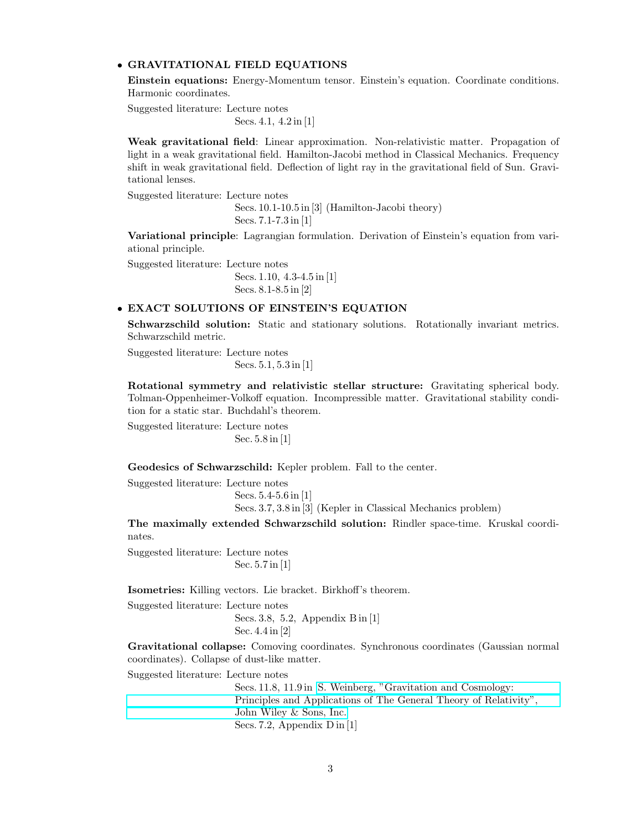#### • GRAVITATIONAL FIELD EQUATIONS

Einstein equations: Energy-Momentum tensor. Einstein's equation. Coordinate conditions. Harmonic coordinates.

Suggested literature: Lecture notes Secs. 4.1, 4.2 in [1]

Weak gravitational field: Linear approximation. Non-relativistic matter. Propagation of light in a weak gravitational field. Hamilton-Jacobi method in Classical Mechanics. Frequency shift in weak gravitational field. Deflection of light ray in the gravitational field of Sun. Gravitational lenses.

Suggested literature: Lecture notes

Secs. 10.1-10.5 in [3] (Hamilton-Jacobi theory) Secs. 7.1-7.3 in [1]

Variational principle: Lagrangian formulation. Derivation of Einstein's equation from variational principle.

Suggested literature: Lecture notes

Secs. 1.10, 4.3-4.5 in [1] Secs. 8.1-8.5 in [2]

# • EXACT SOLUTIONS OF EINSTEIN'S EQUATION

Schwarzschild solution: Static and stationary solutions. Rotationally invariant metrics. Schwarzschild metric.

Suggested literature: Lecture notes Secs. 5.1, 5.3 in [1]

Rotational symmetry and relativistic stellar structure: Gravitating spherical body. Tolman-Oppenheimer-Volkoff equation. Incompressible matter. Gravitational stability condition for a static star. Buchdahl's theorem.

Suggested literature: Lecture notes Sec. 5.8 in [1]

Geodesics of Schwarzschild: Kepler problem. Fall to the center.

Suggested literature: Lecture notes

Secs. 5.4-5.6 in [1]

Secs. 3.7, 3.8 in [3] (Kepler in Classical Mechanics problem)

The maximally extended Schwarzschild solution: Rindler space-time. Kruskal coordinates.

Suggested literature: Lecture notes Sec. 5.7 in [1]

Isometries: Killing vectors. Lie bracket. Birkhoff's theorem.

Suggested literature: Lecture notes Secs. 3.8, 5.2, Appendix B in [1] Sec. 4.4 in [2]

Gravitational collapse: Comoving coordinates. Synchronous coordinates (Gaussian normal coordinates). Collapse of dust-like matter.

Suggested literature: Lecture notes

Secs. 11.8, 11.9 in [S. Weinberg, "Gravitation and Cosmology:](https://www.amazon.com/Gravitation-Cosmology-Principles-Applications-Relativity/dp/0471925675) [Principles and Applications of The General Theory of Relativity",](https://www.amazon.com/Gravitation-Cosmology-Principles-Applications-Relativity/dp/0471925675) [John Wiley & Sons, Inc.](https://www.amazon.com/Gravitation-Cosmology-Principles-Applications-Relativity/dp/0471925675) Secs. 7.2, Appendix D in [1]